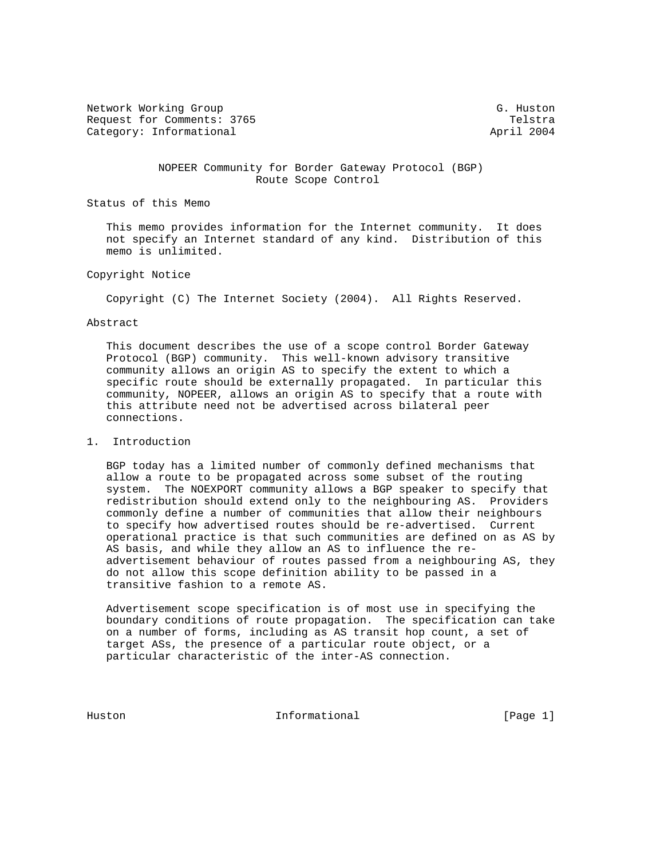Network Working Group G. Huston G. Huston Request for Comments: 3765 Telstra Category: Informational and April 2004

 NOPEER Community for Border Gateway Protocol (BGP) Route Scope Control

Status of this Memo

 This memo provides information for the Internet community. It does not specify an Internet standard of any kind. Distribution of this memo is unlimited.

## Copyright Notice

Copyright (C) The Internet Society (2004). All Rights Reserved.

# Abstract

 This document describes the use of a scope control Border Gateway Protocol (BGP) community. This well-known advisory transitive community allows an origin AS to specify the extent to which a specific route should be externally propagated. In particular this community, NOPEER, allows an origin AS to specify that a route with this attribute need not be advertised across bilateral peer connections.

### 1. Introduction

 BGP today has a limited number of commonly defined mechanisms that allow a route to be propagated across some subset of the routing system. The NOEXPORT community allows a BGP speaker to specify that redistribution should extend only to the neighbouring AS. Providers commonly define a number of communities that allow their neighbours to specify how advertised routes should be re-advertised. Current operational practice is that such communities are defined on as AS by AS basis, and while they allow an AS to influence the re advertisement behaviour of routes passed from a neighbouring AS, they do not allow this scope definition ability to be passed in a transitive fashion to a remote AS.

 Advertisement scope specification is of most use in specifying the boundary conditions of route propagation. The specification can take on a number of forms, including as AS transit hop count, a set of target ASs, the presence of a particular route object, or a particular characteristic of the inter-AS connection.

Huston **Informational Informational** [Page 1]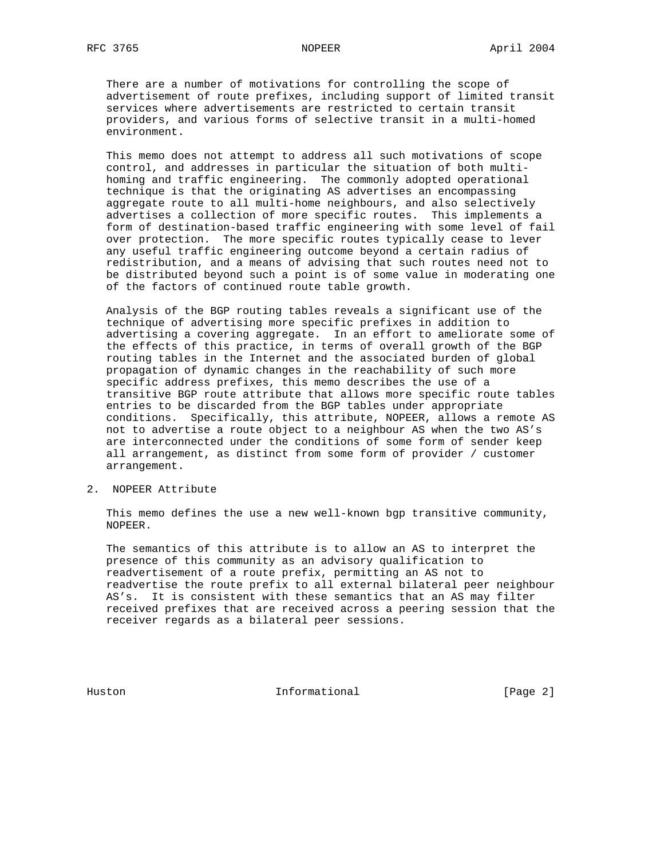There are a number of motivations for controlling the scope of advertisement of route prefixes, including support of limited transit services where advertisements are restricted to certain transit providers, and various forms of selective transit in a multi-homed environment.

 This memo does not attempt to address all such motivations of scope control, and addresses in particular the situation of both multi homing and traffic engineering. The commonly adopted operational technique is that the originating AS advertises an encompassing aggregate route to all multi-home neighbours, and also selectively advertises a collection of more specific routes. This implements a form of destination-based traffic engineering with some level of fail over protection. The more specific routes typically cease to lever any useful traffic engineering outcome beyond a certain radius of redistribution, and a means of advising that such routes need not to be distributed beyond such a point is of some value in moderating one of the factors of continued route table growth.

 Analysis of the BGP routing tables reveals a significant use of the technique of advertising more specific prefixes in addition to advertising a covering aggregate. In an effort to ameliorate some of the effects of this practice, in terms of overall growth of the BGP routing tables in the Internet and the associated burden of global propagation of dynamic changes in the reachability of such more specific address prefixes, this memo describes the use of a transitive BGP route attribute that allows more specific route tables entries to be discarded from the BGP tables under appropriate conditions. Specifically, this attribute, NOPEER, allows a remote AS not to advertise a route object to a neighbour AS when the two AS's are interconnected under the conditions of some form of sender keep all arrangement, as distinct from some form of provider / customer arrangement.

2. NOPEER Attribute

 This memo defines the use a new well-known bgp transitive community, NOPEER.

 The semantics of this attribute is to allow an AS to interpret the presence of this community as an advisory qualification to readvertisement of a route prefix, permitting an AS not to readvertise the route prefix to all external bilateral peer neighbour AS's. It is consistent with these semantics that an AS may filter received prefixes that are received across a peering session that the receiver regards as a bilateral peer sessions.

Huston **Informational Informational** [Page 2]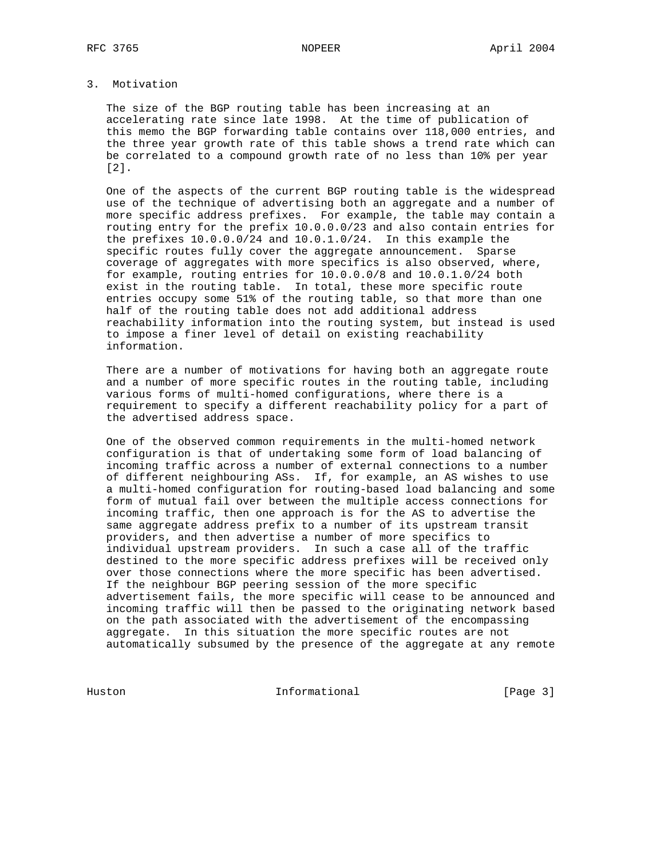# 3. Motivation

 The size of the BGP routing table has been increasing at an accelerating rate since late 1998. At the time of publication of this memo the BGP forwarding table contains over 118,000 entries, and the three year growth rate of this table shows a trend rate which can be correlated to a compound growth rate of no less than 10% per year [2].

 One of the aspects of the current BGP routing table is the widespread use of the technique of advertising both an aggregate and a number of more specific address prefixes. For example, the table may contain a routing entry for the prefix 10.0.0.0/23 and also contain entries for the prefixes 10.0.0.0/24 and 10.0.1.0/24. In this example the specific routes fully cover the aggregate announcement. Sparse coverage of aggregates with more specifics is also observed, where, for example, routing entries for 10.0.0.0/8 and 10.0.1.0/24 both exist in the routing table. In total, these more specific route entries occupy some 51% of the routing table, so that more than one half of the routing table does not add additional address reachability information into the routing system, but instead is used to impose a finer level of detail on existing reachability information.

 There are a number of motivations for having both an aggregate route and a number of more specific routes in the routing table, including various forms of multi-homed configurations, where there is a requirement to specify a different reachability policy for a part of the advertised address space.

 One of the observed common requirements in the multi-homed network configuration is that of undertaking some form of load balancing of incoming traffic across a number of external connections to a number of different neighbouring ASs. If, for example, an AS wishes to use a multi-homed configuration for routing-based load balancing and some form of mutual fail over between the multiple access connections for incoming traffic, then one approach is for the AS to advertise the same aggregate address prefix to a number of its upstream transit providers, and then advertise a number of more specifics to individual upstream providers. In such a case all of the traffic destined to the more specific address prefixes will be received only over those connections where the more specific has been advertised. If the neighbour BGP peering session of the more specific advertisement fails, the more specific will cease to be announced and incoming traffic will then be passed to the originating network based on the path associated with the advertisement of the encompassing aggregate. In this situation the more specific routes are not automatically subsumed by the presence of the aggregate at any remote

Huston Informational [Page 3]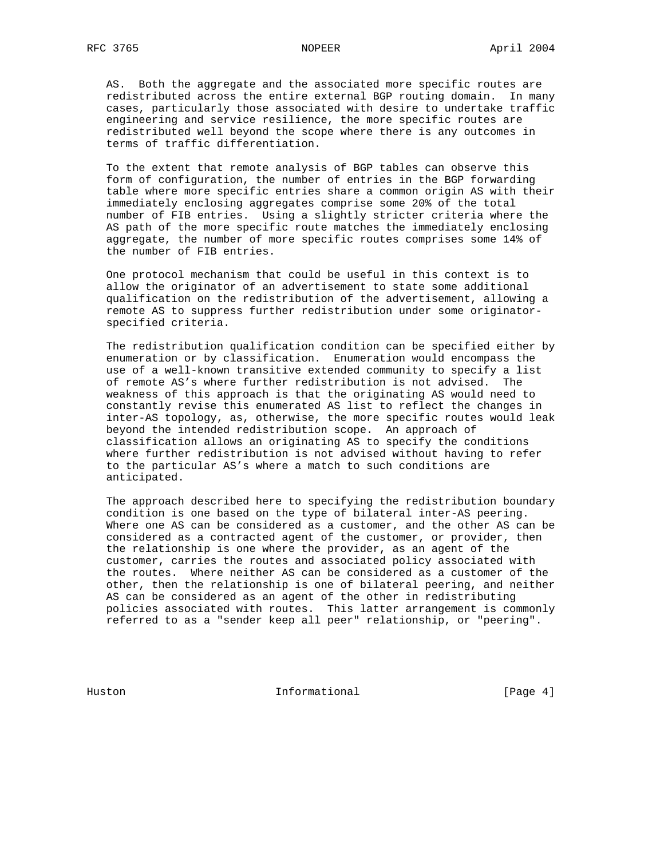AS. Both the aggregate and the associated more specific routes are redistributed across the entire external BGP routing domain. In many cases, particularly those associated with desire to undertake traffic engineering and service resilience, the more specific routes are redistributed well beyond the scope where there is any outcomes in terms of traffic differentiation.

 To the extent that remote analysis of BGP tables can observe this form of configuration, the number of entries in the BGP forwarding table where more specific entries share a common origin AS with their immediately enclosing aggregates comprise some 20% of the total number of FIB entries. Using a slightly stricter criteria where the AS path of the more specific route matches the immediately enclosing aggregate, the number of more specific routes comprises some 14% of the number of FIB entries.

 One protocol mechanism that could be useful in this context is to allow the originator of an advertisement to state some additional qualification on the redistribution of the advertisement, allowing a remote AS to suppress further redistribution under some originator specified criteria.

 The redistribution qualification condition can be specified either by enumeration or by classification. Enumeration would encompass the use of a well-known transitive extended community to specify a list of remote AS's where further redistribution is not advised. The weakness of this approach is that the originating AS would need to constantly revise this enumerated AS list to reflect the changes in inter-AS topology, as, otherwise, the more specific routes would leak beyond the intended redistribution scope. An approach of classification allows an originating AS to specify the conditions where further redistribution is not advised without having to refer to the particular AS's where a match to such conditions are anticipated.

 The approach described here to specifying the redistribution boundary condition is one based on the type of bilateral inter-AS peering. Where one AS can be considered as a customer, and the other AS can be considered as a contracted agent of the customer, or provider, then the relationship is one where the provider, as an agent of the customer, carries the routes and associated policy associated with the routes. Where neither AS can be considered as a customer of the other, then the relationship is one of bilateral peering, and neither AS can be considered as an agent of the other in redistributing policies associated with routes. This latter arrangement is commonly referred to as a "sender keep all peer" relationship, or "peering".

Huston **Informational Informational** [Page 4]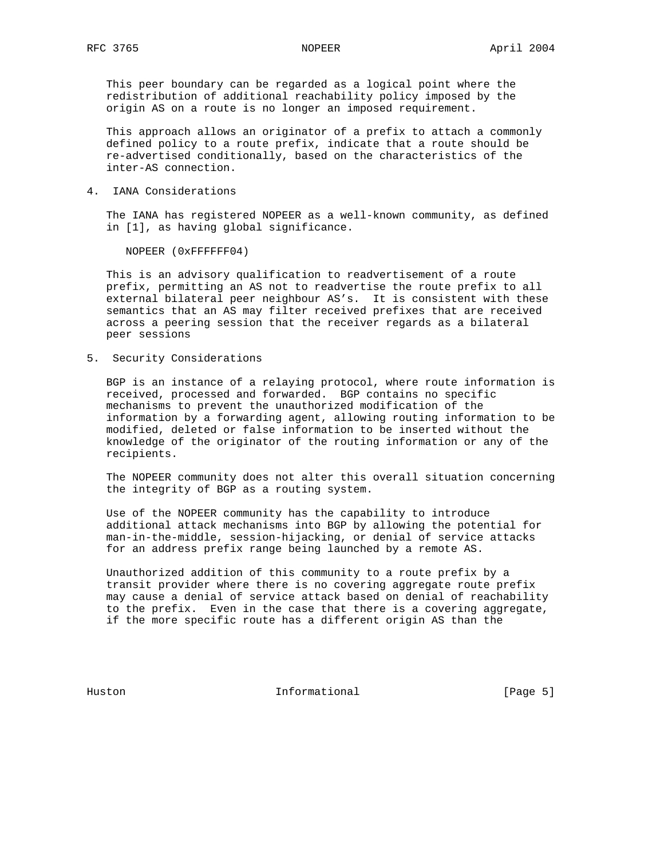This peer boundary can be regarded as a logical point where the redistribution of additional reachability policy imposed by the origin AS on a route is no longer an imposed requirement.

 This approach allows an originator of a prefix to attach a commonly defined policy to a route prefix, indicate that a route should be re-advertised conditionally, based on the characteristics of the inter-AS connection.

4. IANA Considerations

 The IANA has registered NOPEER as a well-known community, as defined in [1], as having global significance.

NOPEER (0xFFFFFF04)

 This is an advisory qualification to readvertisement of a route prefix, permitting an AS not to readvertise the route prefix to all external bilateral peer neighbour AS's. It is consistent with these semantics that an AS may filter received prefixes that are received across a peering session that the receiver regards as a bilateral peer sessions

5. Security Considerations

 BGP is an instance of a relaying protocol, where route information is received, processed and forwarded. BGP contains no specific mechanisms to prevent the unauthorized modification of the information by a forwarding agent, allowing routing information to be modified, deleted or false information to be inserted without the knowledge of the originator of the routing information or any of the recipients.

 The NOPEER community does not alter this overall situation concerning the integrity of BGP as a routing system.

 Use of the NOPEER community has the capability to introduce additional attack mechanisms into BGP by allowing the potential for man-in-the-middle, session-hijacking, or denial of service attacks for an address prefix range being launched by a remote AS.

 Unauthorized addition of this community to a route prefix by a transit provider where there is no covering aggregate route prefix may cause a denial of service attack based on denial of reachability to the prefix. Even in the case that there is a covering aggregate, if the more specific route has a different origin AS than the

Huston **Informational Informational** [Page 5]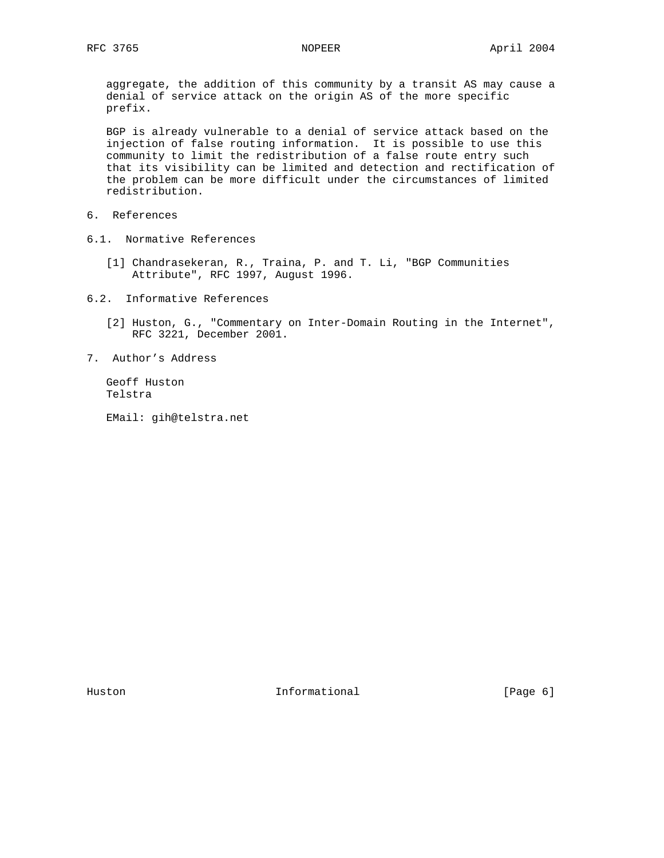aggregate, the addition of this community by a transit AS may cause a denial of service attack on the origin AS of the more specific prefix.

 BGP is already vulnerable to a denial of service attack based on the injection of false routing information. It is possible to use this community to limit the redistribution of a false route entry such that its visibility can be limited and detection and rectification of the problem can be more difficult under the circumstances of limited redistribution.

- 6. References
- 6.1. Normative References
	- [1] Chandrasekeran, R., Traina, P. and T. Li, "BGP Communities Attribute", RFC 1997, August 1996.
- 6.2. Informative References
	- [2] Huston, G., "Commentary on Inter-Domain Routing in the Internet", RFC 3221, December 2001.
- 7. Author's Address

 Geoff Huston Telstra

EMail: gih@telstra.net

Huston **Informational Informational** [Page 6]